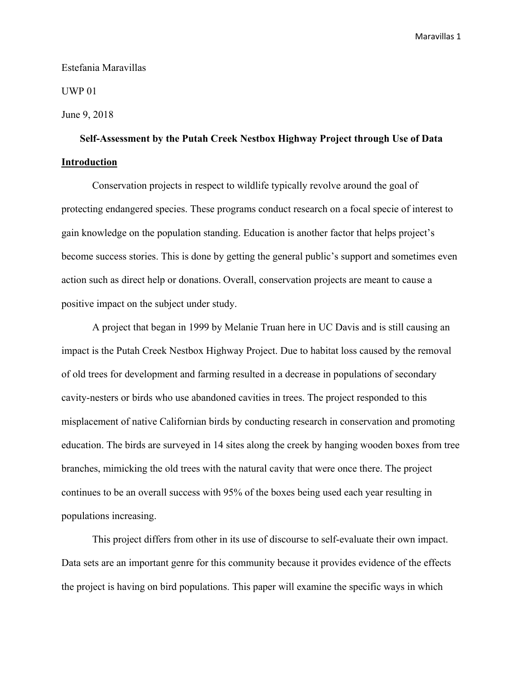### Estefania Maravillas

UWP 01

## June 9, 2018

# **Self-Assessment by the Putah Creek Nestbox Highway Project through Use of Data Introduction**

Conservation projects in respect to wildlife typically revolve around the goal of protecting endangered species. These programs conduct research on a focal specie of interest to gain knowledge on the population standing. Education is another factor that helps project's become success stories. This is done by getting the general public's support and sometimes even action such as direct help or donations. Overall, conservation projects are meant to cause a positive impact on the subject under study.

A project that began in 1999 by Melanie Truan here in UC Davis and is still causing an impact is the Putah Creek Nestbox Highway Project. Due to habitat loss caused by the removal of old trees for development and farming resulted in a decrease in populations of secondary cavity-nesters or birds who use abandoned cavities in trees. The project responded to this misplacement of native Californian birds by conducting research in conservation and promoting education. The birds are surveyed in 14 sites along the creek by hanging wooden boxes from tree branches, mimicking the old trees with the natural cavity that were once there. The project continues to be an overall success with 95% of the boxes being used each year resulting in populations increasing.

This project differs from other in its use of discourse to self-evaluate their own impact. Data sets are an important genre for this community because it provides evidence of the effects the project is having on bird populations. This paper will examine the specific ways in which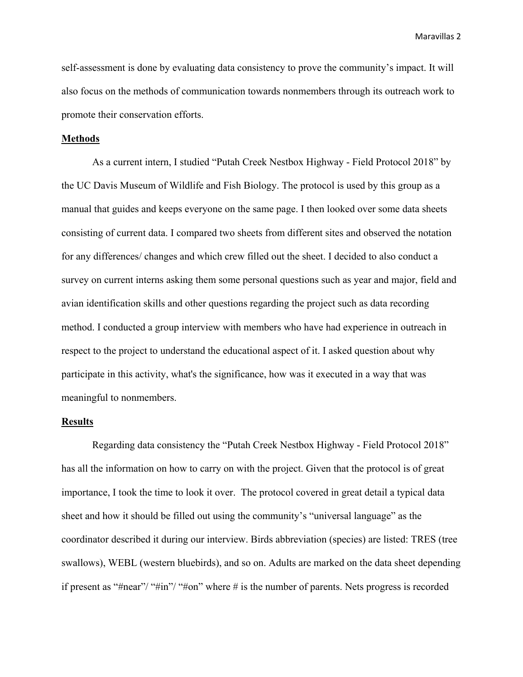self-assessment is done by evaluating data consistency to prove the community's impact. It will also focus on the methods of communication towards nonmembers through its outreach work to promote their conservation efforts.

## **Methods**

As a current intern, I studied "Putah Creek Nestbox Highway - Field Protocol 2018" by the UC Davis Museum of Wildlife and Fish Biology. The protocol is used by this group as a manual that guides and keeps everyone on the same page. I then looked over some data sheets consisting of current data. I compared two sheets from different sites and observed the notation for any differences/ changes and which crew filled out the sheet. I decided to also conduct a survey on current interns asking them some personal questions such as year and major, field and avian identification skills and other questions regarding the project such as data recording method. I conducted a group interview with members who have had experience in outreach in respect to the project to understand the educational aspect of it. I asked question about why participate in this activity, what's the significance, how was it executed in a way that was meaningful to nonmembers.

### **Results**

Regarding data consistency the "Putah Creek Nestbox Highway - Field Protocol 2018" has all the information on how to carry on with the project. Given that the protocol is of great importance, I took the time to look it over. The protocol covered in great detail a typical data sheet and how it should be filled out using the community's "universal language" as the coordinator described it during our interview. Birds abbreviation (species) are listed: TRES (tree swallows), WEBL (western bluebirds), and so on. Adults are marked on the data sheet depending if present as "#near"/ "#in"/ "#on" where # is the number of parents. Nets progress is recorded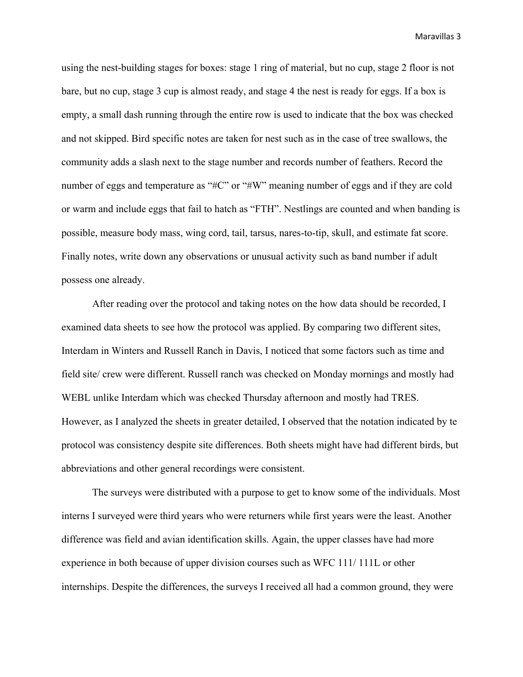using the nest-building stages for boxes: stage 1 ring of material, but no cup, stage 2 floor is not bare, but no cup, stage 3 cup is almost ready, and stage 4 the nest is ready for eggs. If a box is empty, a small dash running through the entire row is used to indicate that the box was checked and not skipped. Bird specific notes are taken for nest such as in the case of tree swallows, the community adds a slash next to the stage number and records number of feathers. Record the number of eggs and temperature as "#C" or "#W" meaning number of eggs and if they are cold or warm and include eggs that fail to hatch as "FTH". Nestlings are counted and when banding is possible, measure body mass, wing cord, tail, tarsus, nares-to-tip, skull, and estimate fat score. Finally notes, write down any observations or unusual activity such as band number if adult possess one already.

After reading over the protocol and taking notes on the how data should be recorded, I examined data sheets to see how the protocol was applied. By comparing two different sites, Interdam in Winters and Russell Ranch in Davis, I noticed that some factors such as time and field site/ crew were different. Russell ranch was checked on Monday mornings and mostly had WEBL unlike Interdam which was checked Thursday afternoon and mostly had TRES. However, as I analyzed the sheets in greater detailed, I observed that the notation indicated by te protocol was consistency despite site differences. Both sheets might have had different birds, but abbreviations and other general recordings were consistent.

The surveys were distributed with a purpose to get to know some of the individuals. Most interns I surveyed were third years who were returners while first years were the least. Another difference was field and avian identification skills. Again, the upper classes have had more experience in both because of upper division courses such as WFC 111/ 111L or other internships. Despite the differences, the surveys I received all had a common ground, they were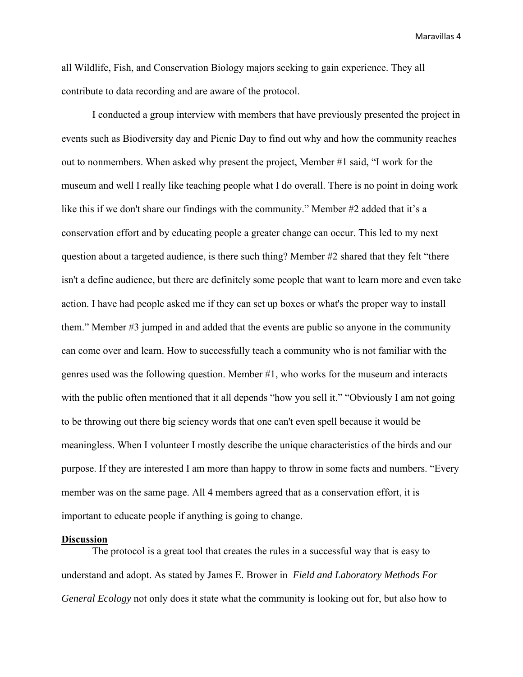all Wildlife, Fish, and Conservation Biology majors seeking to gain experience. They all contribute to data recording and are aware of the protocol.

I conducted a group interview with members that have previously presented the project in events such as Biodiversity day and Picnic Day to find out why and how the community reaches out to nonmembers. When asked why present the project, Member #1 said, "I work for the museum and well I really like teaching people what I do overall. There is no point in doing work like this if we don't share our findings with the community." Member #2 added that it's a conservation effort and by educating people a greater change can occur. This led to my next question about a targeted audience, is there such thing? Member #2 shared that they felt "there isn't a define audience, but there are definitely some people that want to learn more and even take action. I have had people asked me if they can set up boxes or what's the proper way to install them." Member #3 jumped in and added that the events are public so anyone in the community can come over and learn. How to successfully teach a community who is not familiar with the genres used was the following question. Member #1, who works for the museum and interacts with the public often mentioned that it all depends "how you sell it." "Obviously I am not going to be throwing out there big sciency words that one can't even spell because it would be meaningless. When I volunteer I mostly describe the unique characteristics of the birds and our purpose. If they are interested I am more than happy to throw in some facts and numbers. "Every member was on the same page. All 4 members agreed that as a conservation effort, it is important to educate people if anything is going to change.

### **Discussion**

The protocol is a great tool that creates the rules in a successful way that is easy to understand and adopt. As stated by James E. Brower in *Field and Laboratory Methods For General Ecology* not only does it state what the community is looking out for, but also how to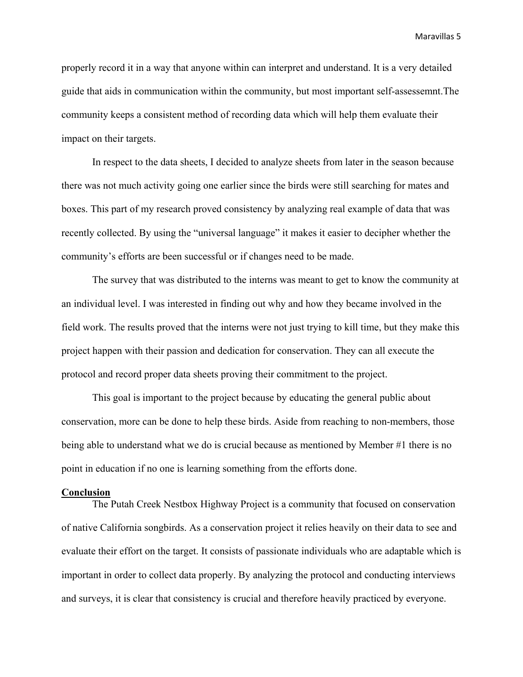properly record it in a way that anyone within can interpret and understand. It is a very detailed guide that aids in communication within the community, but most important self-assessemnt.The community keeps a consistent method of recording data which will help them evaluate their impact on their targets.

In respect to the data sheets, I decided to analyze sheets from later in the season because there was not much activity going one earlier since the birds were still searching for mates and boxes. This part of my research proved consistency by analyzing real example of data that was recently collected. By using the "universal language" it makes it easier to decipher whether the community's efforts are been successful or if changes need to be made.

The survey that was distributed to the interns was meant to get to know the community at an individual level. I was interested in finding out why and how they became involved in the field work. The results proved that the interns were not just trying to kill time, but they make this project happen with their passion and dedication for conservation. They can all execute the protocol and record proper data sheets proving their commitment to the project.

This goal is important to the project because by educating the general public about conservation, more can be done to help these birds. Aside from reaching to non-members, those being able to understand what we do is crucial because as mentioned by Member #1 there is no point in education if no one is learning something from the efforts done.

#### **Conclusion**

The Putah Creek Nestbox Highway Project is a community that focused on conservation of native California songbirds. As a conservation project it relies heavily on their data to see and evaluate their effort on the target. It consists of passionate individuals who are adaptable which is important in order to collect data properly. By analyzing the protocol and conducting interviews and surveys, it is clear that consistency is crucial and therefore heavily practiced by everyone.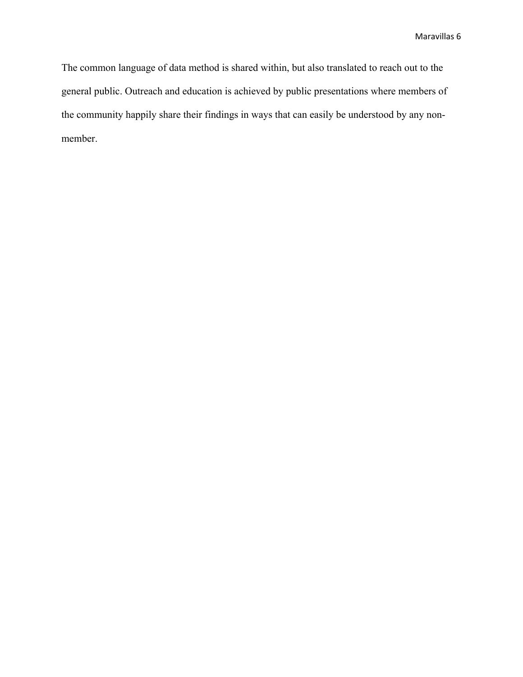The common language of data method is shared within, but also translated to reach out to the general public. Outreach and education is achieved by public presentations where members of the community happily share their findings in ways that can easily be understood by any nonmember.